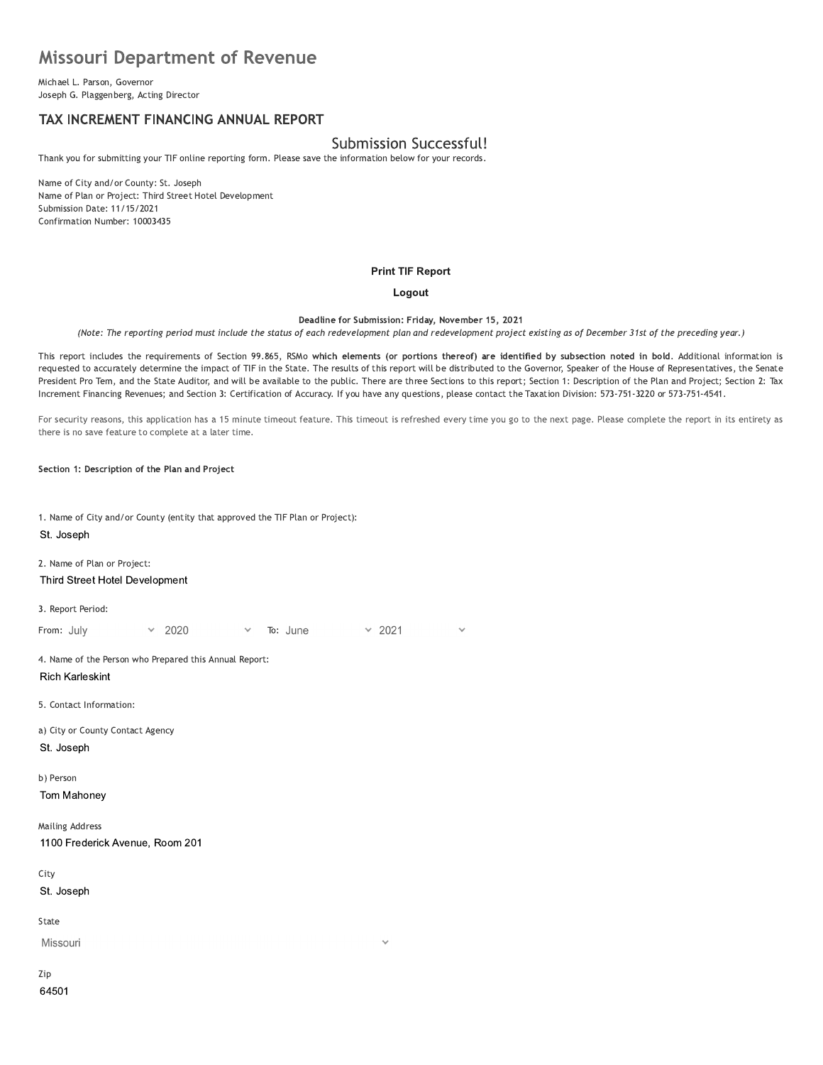# **Missouri Department of Revenue**

Michael L. Parson, Governor Joseph G. Plaggenberg, Acting Director

# TAX INCREMENT FINANCING ANNUAL REPORT

# Submission Successful!

Thank you for submitting your TIF online reporting form. Please save the information below for your records.

Name of City and/or County: St. Joseph Name of Plan or Project: Third Street Hotel Development Submission Date: 11/15/2021 Confirmation Number: 10003435

### **Print TIF Report**

### Logout

Deadline for Submission: Friday, November 15, 2021

(Note: The reporting period must include the status of each redevelopment plan and redevelopment project existing as of December 31st of the preceding year.)

This report includes the requirements of Section 99.865, RSMo which elements (or portions thereof) are identified by subsection noted in bold. Additional information is requested to accurately determine the impact of TIF in the State. The results of this report will be distributed to the Governor, Speaker of the House of Representatives, the Senate President Pro Tem, and the State Auditor, and will be available to the public. There are three Sections to this report; Section 1: Description of the Plan and Project; Section 2: Tax Increment Financing Revenues; and Section 3: Certification of Accuracy. If you have any questions, please contact the Taxation Division: 573-751-3220 or 573-751-4541.

For security reasons, this application has a 15 minute timeout feature. This timeout is refreshed every time you go to the next page. Please complete the report in its entirety as there is no save feature to complete at a later time.

Section 1: Description of the Plan and Project

1. Name of City and/or County (entity that approved the TIF Plan or Project): St. Joseph

2. Name of Plan or Project: Third Street Hotel Development

3. Report Period:

 $\times$  2021 From: July 2020 To: June

4. Name of the Person who Prepared this Annual Report: **Rich Karleskint** 

5. Contact Information:

a) City or County Contact Agency St. Joseph

b) Person

Tom Mahoney

**Mailing Address** 1100 Frederick Avenue, Room 201

City

St. Joseph

State

Missouri

Zip 64501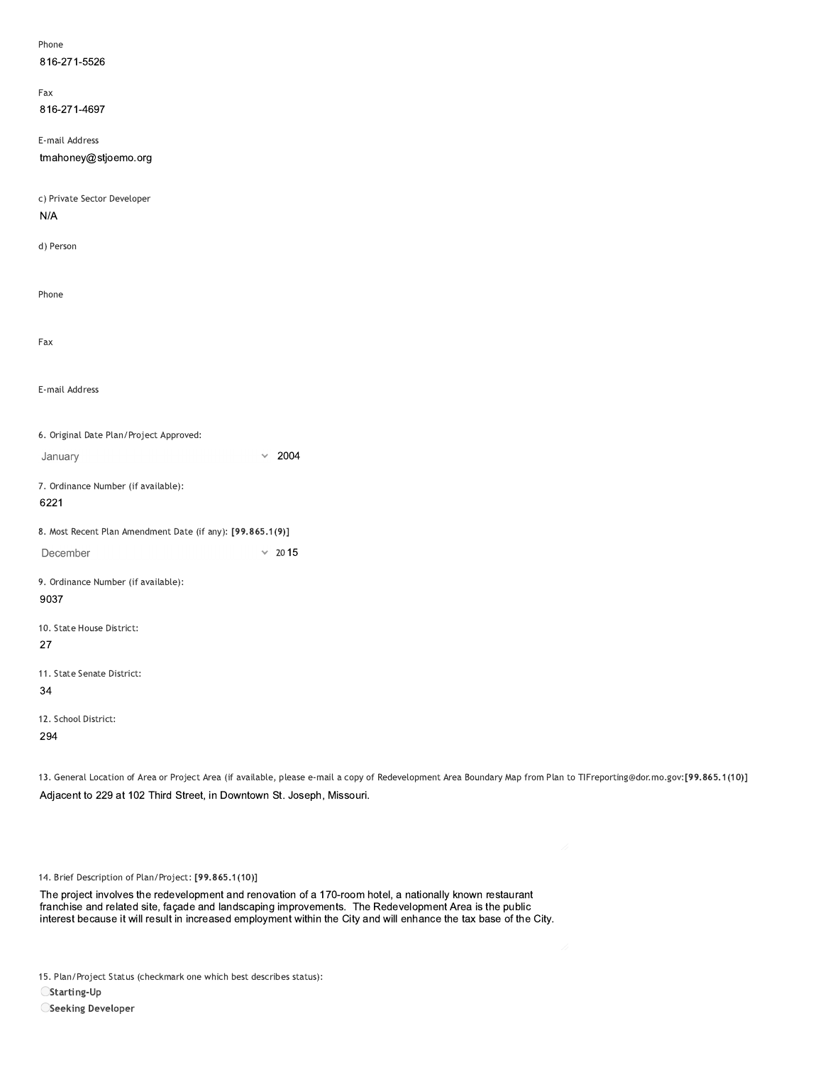| Phone                                                      |               |
|------------------------------------------------------------|---------------|
| 816-271-5526                                               |               |
|                                                            |               |
| Fax                                                        |               |
| 816-271-4697                                               |               |
| E-mail Address                                             |               |
| tmahoney@stjoemo.org                                       |               |
|                                                            |               |
| c) Private Sector Developer                                |               |
| N/A                                                        |               |
|                                                            |               |
| d) Person                                                  |               |
|                                                            |               |
|                                                            |               |
| Phone                                                      |               |
|                                                            |               |
| Fax                                                        |               |
|                                                            |               |
|                                                            |               |
| E-mail Address                                             |               |
|                                                            |               |
| 6. Original Date Plan/Project Approved:                    |               |
| January                                                    | $\times$ 2004 |
|                                                            |               |
| 7. Ordinance Number (if available):                        |               |
| 6221                                                       |               |
| 8. Most Recent Plan Amendment Date (if any): [99.865.1(9)] |               |
| December                                                   | $\times$ 2015 |
|                                                            |               |
| 9. Ordinance Number (if available):                        |               |
| 9037                                                       |               |
| 10. State House District:                                  |               |
| 27                                                         |               |
|                                                            |               |
| 11. State Senate District:                                 |               |
| 34                                                         |               |
| 12. School District:                                       |               |
| 294                                                        |               |
|                                                            |               |

13. General Location of Area or Project Area (if available, please e-mail a copy of Redevelopment Area Boundary Map from Plan to TIFreporting@dor.mo.gov:[99.865.1(10)] Adjacent to 229 at 102 Third Street, in Downtown St. Joseph, Missouri.

14. Brief Description of Plan/Project: [99.865.1(10)]

The project involves the redevelopment and renovation of a 170-room hotel, a nationally known restaurant<br>franchise and related site, façade and landscaping improvements. The Redevelopment Area is the public<br>interest becaus

15. Plan/Project Status (checkmark one which best describes status):

OStarting-Up

**OSeeking Developer**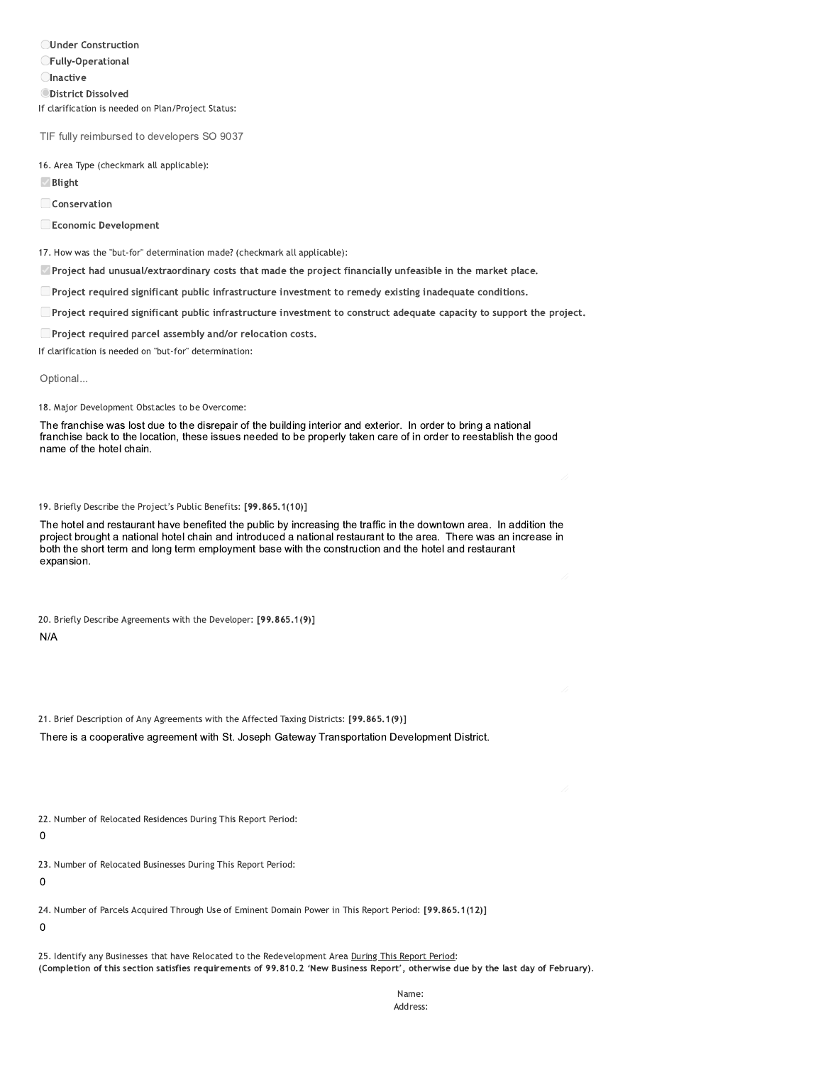**OUnder Construction CFully-Operational Olnactive ODistrict Dissolved** If clarification is needed on Plan/Project Status:

TIF fully reimbursed to developers SO 9037

16. Area Type (checkmark all applicable):

 $\vee$  Blight

Conservation

Economic Development

17. How was the "but-for" determination made? (checkmark all applicable):

Project had unusual/extraordinary costs that made the project financially unfeasible in the market place.

□ Project required significant public infrastructure investment to remedy existing inadequate conditions.

■ Project required significant public infrastructure investment to construct adequate capacity to support the project.

Project required parcel assembly and/or relocation costs.

If clarification is needed on "but-for" determination:

Optional...

18. Major Development Obstacles to be Overcome:

The franchise was lost due to the disrepair of the building interior and exterior. In order to bring a national franchise back to the location, these issues needed to be properly taken care of in order to reestablish the good name of the hotel chain.

19. Briefly Describe the Project's Public Benefits: [99.865.1(10)]

The hotel and restaurant have benefited the public by increasing the traffic in the downtown area. In addition the project brought a national hotel chain and introduced a national restaurant to the area. There was an increase in both the short term and long term employment base with the construction and the hotel and restaurant expansion.

20. Briefly Describe Agreements with the Developer: [99.865.1(9)]

 $N/A$ 

21. Brief Description of Any Agreements with the Affected Taxing Districts: [99.865.1(9)]

There is a cooperative agreement with St. Joseph Gateway Transportation Development District.

22. Number of Relocated Residences During This Report Period:

 $\mathbf 0$ 

23. Number of Relocated Businesses During This Report Period:

 $\mathbf 0$ 

24. Number of Parcels Acquired Through Use of Eminent Domain Power in This Report Period: [99.865.1(12)]

 $\mathbf 0$ 

25. Identify any Businesses that have Relocated to the Redevelopment Area During This Report Period: (Completion of this section satisfies requirements of 99.810.2 'New Business Report', otherwise due by the last day of February).

> Name: Address: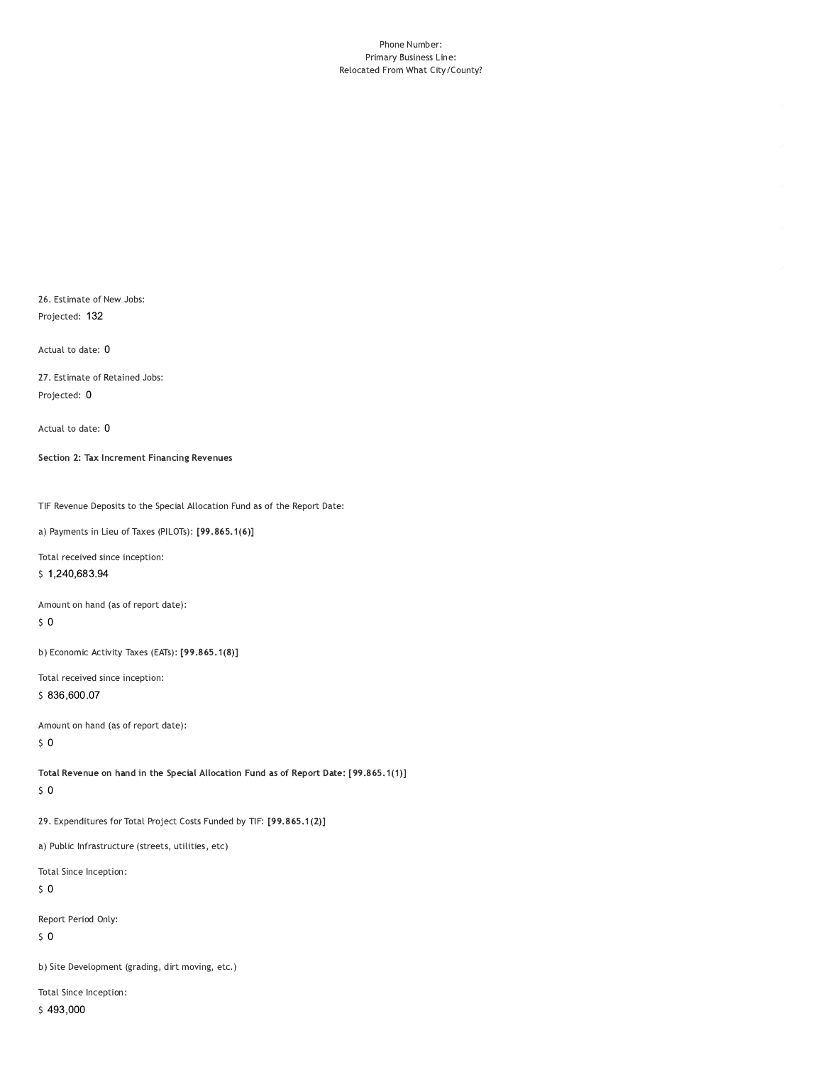#### Phone Number: Primary Business Line: Relocated From What City/County?

26. Estimate of New Jobs: Projected: 132

Actual to date: 0

27. Estimate of Retained Jobs: Projected: 0

Actual to date: 0

Section 2: Tax Increment Financing Revenues

TIF Revenue Deposits to the Special Allocation Fund as of the Report Date:

a) Payments in Lieu of Taxes (PILOTs): [99.865.1(6)]

Total received since inception:

\$1,240,683.94

Amount on hand (as of report date):

 $\sqrt{5}$  O

b) Economic Activity Taxes (EATs): [99.865.1(8)]

Total received since inception:

\$836,600.07

Amount on hand (as of report date):  $50$ 

Total Revenue on hand in the Special Allocation Fund as of Report Date: [99.865.1(1)]  $\sqrt{5}$  O

29. Expenditures for Total Project Costs Funded by TIF: [99.865.1(2)]

a) Public Infrastructure (streets, utilities, etc)

Total Since Inception:

 $\sqrt{5}$  O

Report Period Only:

 $\sqrt{5}$  O

b) Site Development (grading, dirt moving, etc.)

Total Since Inception: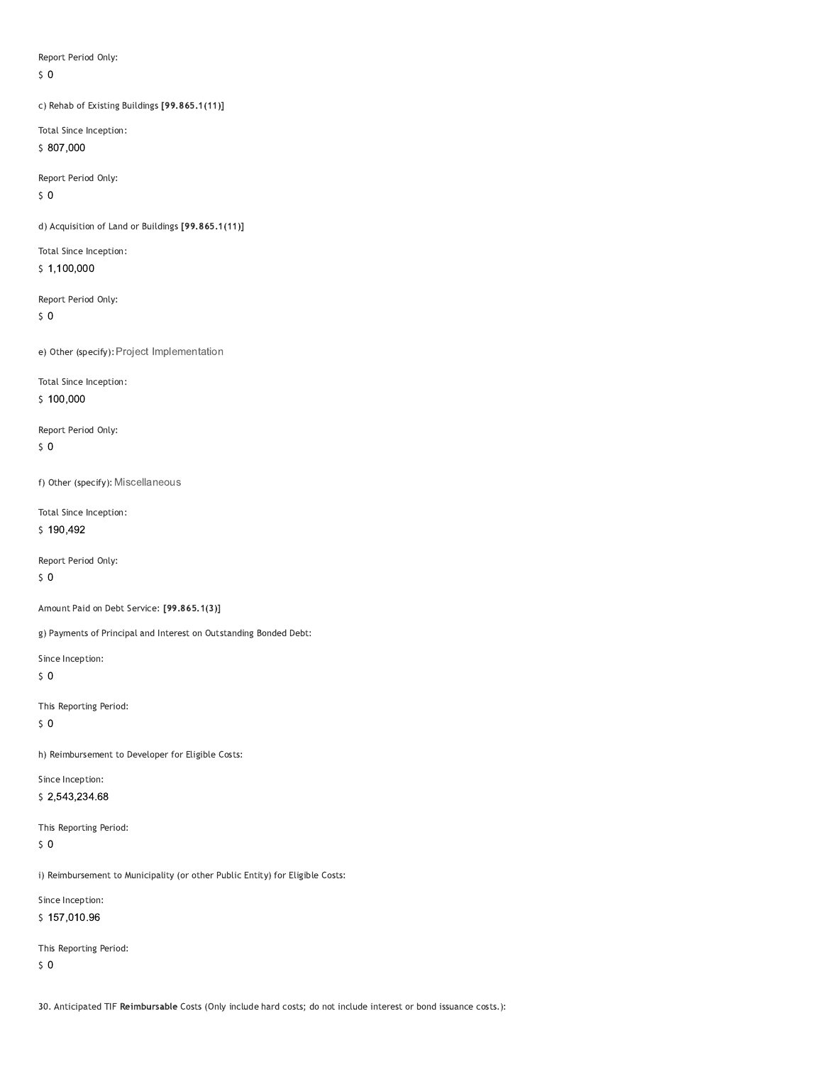Report Period Only:

 $\zeta$  0

c) Rehab of Existing Buildings [99.865.1(11)]

Total Since Inception: \$807,000

Report Period Only:

 $50$ 

d) Acquisition of Land or Buildings [99.865.1(11)]

Total Since Inception:  $$1,100,000$ 

Report Period Only:

 $\sqrt{5}$  O

e) Other (specify): Project Implementation

Total Since Inception:

 $$100,000$ 

Report Period Only:  $50$ 

f) Other (specify): Miscellaneous

Total Since Inception:  $$190,492$ 

Report Period Only:

 $\sqrt{5}$  O

Amount Paid on Debt Service: [99.865.1(3)]

g) Payments of Principal and Interest on Outstanding Bonded Debt:

Since Inception:

 $\zeta$  0

This Reporting Period:

 $\sqrt{5}$  O

h) Reimbursement to Developer for Eligible Costs:

Since Inception: \$2,543,234.68

This Reporting Period:

 $\sqrt{5}$  O

i) Reimbursement to Municipality (or other Public Entity) for Eligible Costs:

Since Inception:

\$157,010.96

This Reporting Period:

 $\zeta$  0

30. Anticipated TIF Reimbursable Costs (Only include hard costs; do not include interest or bond issuance costs.):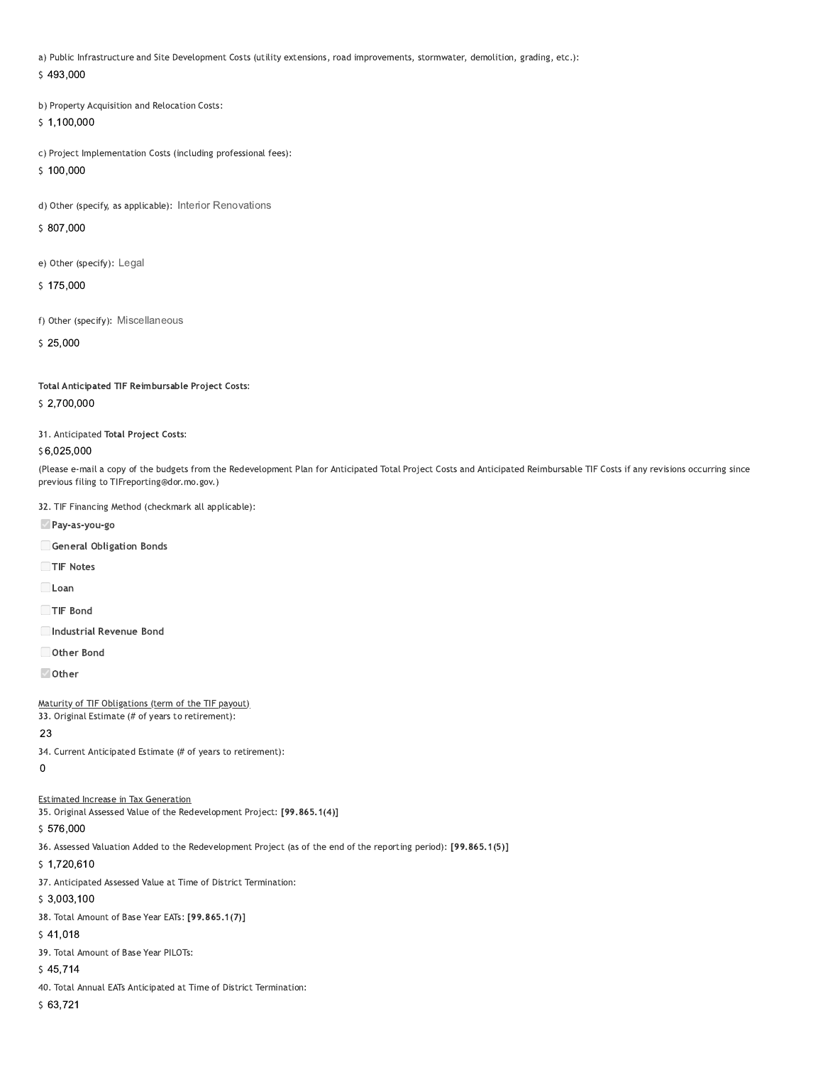a) Public Infrastructure and Site Development Costs (utility extensions, road improvements, stormwater, demolition, grading, etc.):

\$493,000

b) Property Acquisition and Relocation Costs:

 $$1,100,000$ 

c) Project Implementation Costs (including professional fees):

 $$100,000$ 

d) Other (specify, as applicable): Interior Renovations

\$807,000

e) Other (specify): Legal

\$175,000

f) Other (specify): Miscellaneous

 $$25.000$ 

Total Anticipated TIF Reimbursable Project Costs:

### \$2,700,000

31. Anticipated Total Project Costs:

### \$6,025,000

(Please e-mail a copy of the budgets from the Redevelopment Plan for Anticipated Total Project Costs and Anticipated Reimbursable TIF Costs if any revisions occurring since previous filing to TIFreporting@dor.mo.gov.)

32. TIF Financing Method (checkmark all applicable):

Pay-as-you-go

General Obligation Bonds

TIF Notes

 $\Box$ Loan

TIF Bond

Industrial Revenue Bond

Other Bond

☑ Other

Maturity of TIF Obligations (term of the TIF payout)

33. Original Estimate (# of years to retirement):

# 23

34. Current Anticipated Estimate (# of years to retirement):

 $\mathbf 0$ 

### **Estimated Increase in Tax Generation**

35. Original Assessed Value of the Redevelopment Project: [99.865.1(4)]

### \$576,000

36. Assessed Valuation Added to the Redevelopment Project (as of the end of the reporting period): [99.865.1(5)]

 $$1,720,610$ 

37. Anticipated Assessed Value at Time of District Termination:

 $$3,003,100$ 

38. Total Amount of Base Year EATs: [99.865.1(7)]

### $$41,018$

39. Total Amount of Base Year PILOTs:

 $$45,714$ 

40. Total Annual EATs Anticipated at Time of District Termination:

 $$63,721$